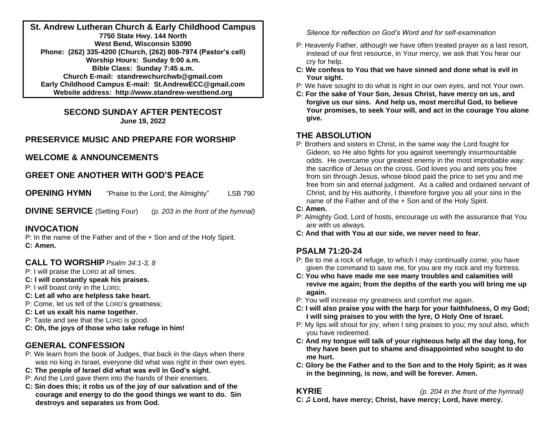**St. Andrew Lutheran Church & Early Childhood Campus 7750 State Hwy. 144 North West Bend, Wisconsin 53090 Phone: (262) 335-4200 (Church, (262) 808-7974 (Pastor's cell) Worship Hours: Sunday 9:00 a.m. Bible Class: Sunday 7:45 a.m. Church E-mail: standrewchurchwb@gmail.com Early Childhood Campus E-mail: St.AndrewECC@gmail.com Website address: http://www.standrew-westbend.org** 

> **SECOND SUNDAY AFTER PENTECOST June 19, 2022**

## **PRESERVICE MUSIC AND PREPARE FOR WORSHIP**

## **WELCOME & ANNOUNCEMENTS**

## **GREET ONE ANOTHER WITH GOD'S PEACE**

**OPENING HYMN** "Praise to the Lord, the Almighty" LSB 790

**DIVINE SERVICE** (Setting Four) *(p. 203 in the front of the hymnal)*

## **INVOCATION**

P: In the name of the Father and of the + Son and of the Holy Spirit. **C: Amen.**

## **CALL TO WORSHIP** *Psalm 34:1-3, 8*

- P: I will praise the LORD at all times.
- **C: I will constantly speak his praises.**
- P: I will boast only in the LORD;
- **C: Let all who are helpless take heart.**
- P: Come, let us tell of the LORD's greatness;
- **C: Let us exalt his name together.**
- P: Taste and see that the LORD is good.
- **C: Oh, the joys of those who take refuge in him!**

## **GENERAL CONFESSION**

- P: We learn from the book of Judges, that back in the days when there was no king in Israel, everyone did what was right in their own eyes.
- **C: The people of Israel did what was evil in God's sight.**
- P: And the Lord gave them into the hands of their enemies.
- **C: Sin does this; it robs us of the joy of our salvation and of the courage and energy to do the good things we want to do. Sin destroys and separates us from God.**

*Silence for reflection on God's Word and for self-examination*

- P: Heavenly Father, although we have often treated prayer as a last resort, instead of our first resource, in Your mercy, we ask that You hear our cry for help.
- **C: We confess to You that we have sinned and done what is evil in Your sight.**
- P: We have sought to do what is right in our own eyes, and not Your own.
- **C: For the sake of Your Son, Jesus Christ, have mercy on us, and forgive us our sins. And help us, most merciful God, to believe Your promises, to seek Your will, and act in the courage You alone give.**

## **THE ABSOLUTION**

P: Brothers and sisters in Christ, in the same way the Lord fought for Gideon, so He also fights for you against seemingly insurmountable odds. He overcame your greatest enemy in the most improbable way: the sacrifice of Jesus on the cross. God loves you and sets you free from sin through Jesus, whose blood paid the price to set you and me free from sin and eternal judgment. As a called and ordained servant of Christ, and by His authority, I therefore forgive you all your sins in the name of the Father and of the + Son and of the Holy Spirit.

### **C: Amen.**

- P: Almighty God, Lord of hosts, encourage us with the assurance that You are with us always.
- **C: And that with You at our side, we never need to fear.**

## **PSALM 71:20-24**

- P: Be to me a rock of refuge, to which I may continually come; you have given the command to save me, for you are my rock and my fortress.
- **C: You who have made me see many troubles and calamities will revive me again; from the depths of the earth you will bring me up again.**
- P: You will increase my greatness and comfort me again.
- **C: I will also praise you with the harp for your faithfulness, O my God; I will sing praises to you with the lyre, O Holy One of Israel.**
- P: My lips will shout for joy, when I sing praises to you; my soul also, which you have redeemed.
- **C: And my tongue will talk of your righteous help all the day long, for they have been put to shame and disappointed who sought to do me hurt.**
- **C: Glory be the Father and to the Son and to the Holy Spirit; as it was in the beginning, is now, and will be forever. Amen.**

**KYRIE** *(p. 204 in the front of the hymnal)*

**C: ♫ Lord, have mercy; Christ, have mercy; Lord, have mercy.**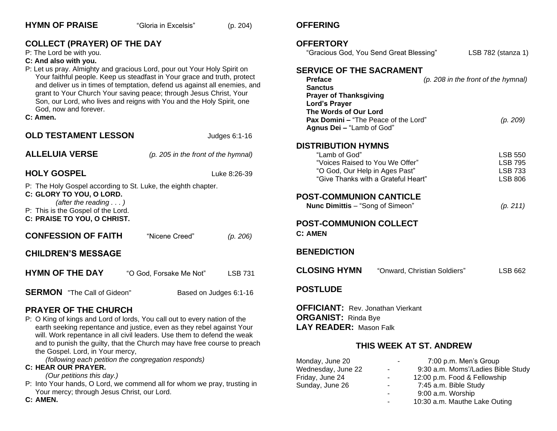| <b>COLLECT (PRAYER) OF THE DAY</b><br>P: The Lord be with you.<br>C: And also with you.<br>P: Let us pray. Almighty and gracious Lord, pour out Your Holy Spirit on<br>Your faithful people. Keep us steadfast in Your grace and truth, protect<br>and deliver us in times of temptation, defend us against all enemies, and<br>grant to Your Church Your saving peace; through Jesus Christ, Your<br>Son, our Lord, who lives and reigns with You and the Holy Spirit, one<br>God, now and forever.<br>C: Amen. |                                     |                | <b>OFFERTORY</b><br>"Gracious God, You Send Great Blessing"<br><b>SERVICE OF THE SACRAMENT</b><br><b>Preface</b><br><b>Sanctus</b><br><b>Prayer of Thanksgiving</b><br><b>Lord's Prayer</b><br>The Words of Our Lord<br>Pax Domini - "The Peace of the Lord" |                              | LSB 782 (stanza 1)                  |
|------------------------------------------------------------------------------------------------------------------------------------------------------------------------------------------------------------------------------------------------------------------------------------------------------------------------------------------------------------------------------------------------------------------------------------------------------------------------------------------------------------------|-------------------------------------|----------------|--------------------------------------------------------------------------------------------------------------------------------------------------------------------------------------------------------------------------------------------------------------|------------------------------|-------------------------------------|
|                                                                                                                                                                                                                                                                                                                                                                                                                                                                                                                  |                                     |                |                                                                                                                                                                                                                                                              |                              | (p. 208 in the front of the hymnal) |
|                                                                                                                                                                                                                                                                                                                                                                                                                                                                                                                  |                                     |                | Agnus Dei - "Lamb of God"                                                                                                                                                                                                                                    |                              | (p. 209)                            |
| <b>OLD TESTAMENT LESSON</b>                                                                                                                                                                                                                                                                                                                                                                                                                                                                                      |                                     | Judges 6:1-16  |                                                                                                                                                                                                                                                              |                              |                                     |
| <b>ALLELUIA VERSE</b>                                                                                                                                                                                                                                                                                                                                                                                                                                                                                            | (p. 205 in the front of the hymnal) |                | <b>DISTRIBUTION HYMNS</b><br>"Lamb of God"<br>"Voices Raised to You We Offer"                                                                                                                                                                                |                              | <b>LSB 550</b><br><b>LSB 795</b>    |
| <b>HOLY GOSPEL</b>                                                                                                                                                                                                                                                                                                                                                                                                                                                                                               | Luke 8:26-39                        |                | "O God, Our Help in Ages Past"                                                                                                                                                                                                                               |                              | <b>LSB 733</b>                      |
| P: The Holy Gospel according to St. Luke, the eighth chapter.<br>C: GLORY TO YOU, O LORD.<br>(after the reading $\ldots$ )<br>P: This is the Gospel of the Lord.<br>C: PRAISE TO YOU, O CHRIST.                                                                                                                                                                                                                                                                                                                  |                                     |                | "Give Thanks with a Grateful Heart"<br><b>POST-COMMUNION CANTICLE</b><br>Nunc Dimittis - "Song of Simeon"<br><b>POST-COMMUNION COLLECT</b>                                                                                                                   |                              | <b>LSB 806</b><br>(p. 211)          |
| <b>CONFESSION OF FAITH</b>                                                                                                                                                                                                                                                                                                                                                                                                                                                                                       | "Nicene Creed"                      | (p. 206)       | <b>C: AMEN</b>                                                                                                                                                                                                                                               |                              |                                     |
| <b>CHILDREN'S MESSAGE</b>                                                                                                                                                                                                                                                                                                                                                                                                                                                                                        |                                     |                | <b>BENEDICTION</b>                                                                                                                                                                                                                                           |                              |                                     |
| <b>HYMN OF THE DAY</b>                                                                                                                                                                                                                                                                                                                                                                                                                                                                                           | "O God, Forsake Me Not"             | <b>LSB 731</b> | <b>CLOSING HYMN</b>                                                                                                                                                                                                                                          | "Onward, Christian Soldiers" | <b>LSB 662</b>                      |
| <b>SERMON</b> "The Call of Gideon"<br>Based on Judges 6:1-16                                                                                                                                                                                                                                                                                                                                                                                                                                                     |                                     |                | <b>POSTLUDE</b>                                                                                                                                                                                                                                              |                              |                                     |
| <b>PRAYER OF THE CHURCH</b><br>P: O King of kings and Lord of lords, You call out to every nation of the<br>earth seeking repentance and justice, even as they rebel against Your<br>will. Work repentance in all civil leaders. Use them to defend the weak<br>and to punish the guilty, that the Church may have free course to preach<br>the Gospel. Lord, in Your mercy,                                                                                                                                     |                                     |                | <b>OFFICIANT:</b> Rev. Jonathan Vierkant<br><b>ORGANIST:</b> Rinda Bye<br><b>LAY READER: Mason Falk</b>                                                                                                                                                      |                              |                                     |
|                                                                                                                                                                                                                                                                                                                                                                                                                                                                                                                  |                                     |                | THIS WEEK AT ST. ANDREW                                                                                                                                                                                                                                      |                              |                                     |

**OFFERING**

Monday, June 20 - 7:00 p.m. Men's Group<br>Wednesday, June 22 - 9:30 a.m. Moms'/Ladies Bil

Sunday, June 26 - 7:45 a.m. Bible Study

Wednesday, June 22 - 9:30 a.m. Moms'/Ladies Bible Study<br>Friday, June 24 - 12:00 p.m. Food & Fellowship

- 12:00 p.m. Food & Fellowship

- 10:30 a.m. Mauthe Lake Outing

- 9:00 a.m. Worship

*(following each petition the congregation responds)*

## **C: HEAR OUR PRAYER.**

*(Our petitions this day.)*

P: Into Your hands, O Lord, we commend all for whom we pray, trusting in Your mercy; through Jesus Christ, our Lord.

**HYMN OF PRAISE** "Gloria in Excelsis" (p. 204)

**C: AMEN.**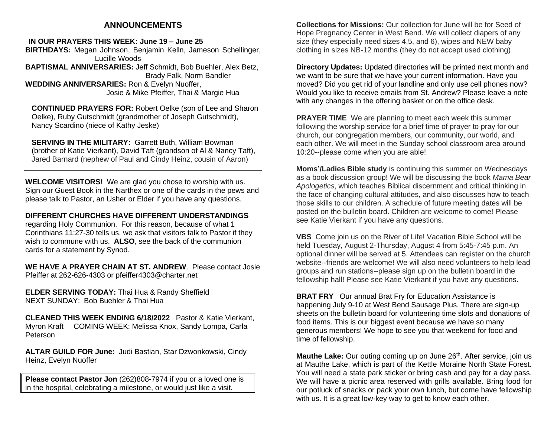## **ANNOUNCEMENTS**

**IN OUR PRAYERS THIS WEEK: June 19 – June 25 BIRTHDAYS:** Megan Johnson, Benjamin Kelln, Jameson Schellinger, Lucille Woods **BAPTISMAL ANNIVERSARIES:** Jeff Schmidt, Bob Buehler, Alex Betz, Brady Falk, Norm Bandler **WEDDING ANNIVERSARIES:** Ron & Evelyn Nuoffer, Josie & Mike Pfeiffer, Thai & Margie Hua

**CONTINUED PRAYERS FOR:** Robert Oelke (son of Lee and Sharon Oelke), Ruby Gutschmidt (grandmother of Joseph Gutschmidt), Nancy Scardino (niece of Kathy Jeske)

**SERVING IN THE MILITARY:** Garrett Buth, William Bowman (brother of Katie Vierkant), David Taft (grandson of Al & Nancy Taft), Jared Barnard (nephew of Paul and Cindy Heinz, cousin of Aaron)

**WELCOME VISITORS!** We are glad you chose to worship with us. Sign our Guest Book in the Narthex or one of the cards in the pews and please talk to Pastor, an Usher or Elder if you have any questions.

**DIFFERENT CHURCHES HAVE DIFFERENT UNDERSTANDINGS** regarding Holy Communion. For this reason, because of what 1 Corinthians 11:27-30 tells us, we ask that visitors talk to Pastor if they wish to commune with us. **ALSO**, see the back of the communion cards for a statement by Synod.

**WE HAVE A PRAYER CHAIN AT ST. ANDREW**. Please contact Josie Pfeiffer at 262-626-4303 or pfeiffer4303@charter.net

**ELDER SERVING TODAY:** Thai Hua & Randy Sheffield NEXT SUNDAY: Bob Buehler & Thai Hua

**CLEANED THIS WEEK ENDING 6/18/2022** Pastor & Katie Vierkant, Myron Kraft COMING WEEK: Melissa Knox, Sandy Lompa, Carla Peterson

**ALTAR GUILD FOR June:** Judi Bastian, Star Dzwonkowski, Cindy Heinz, Evelyn Nuoffer

**Please contact Pastor Jon** (262)808-7974 if you or a loved one is in the hospital, celebrating a milestone, or would just like a visit.

**Collections for Missions:** Our collection for June will be for Seed of Hope Pregnancy Center in West Bend. We will collect diapers of any size (they especially need sizes 4,5, and 6), wipes and NEW baby clothing in sizes NB-12 months (they do not accept used clothing)

**Directory Updates:** Updated directories will be printed next month and we want to be sure that we have your current information. Have you moved? Did you get rid of your landline and only use cell phones now? Would you like to receive emails from St. Andrew? Please leave a note with any changes in the offering basket or on the office desk.

**PRAYER TIME** We are planning to meet each week this summer following the worship service for a brief time of prayer to pray for our church, our congregation members, our community, our world, and each other. We will meet in the Sunday school classroom area around 10:20--please come when you are able!

**Moms'/Ladies Bible study** is continuing this summer on Wednesdays as a book discussion group! We will be discussing the book *Mama Bear Apologetics*, which teaches Biblical discernment and critical thinking in the face of changing cultural attitudes, and also discusses how to teach those skills to our children. A schedule of future meeting dates will be posted on the bulletin board. Children are welcome to come! Please see Katie Vierkant if you have any questions.

**VBS** Come join us on the River of Life! Vacation Bible School will be held Tuesday, August 2-Thursday, August 4 from 5:45-7:45 p.m. An optional dinner will be served at 5. Attendees can register on the church website--friends are welcome! We will also need volunteers to help lead groups and run stations--please sign up on the bulletin board in the fellowship hall! Please see Katie Vierkant if you have any questions.

**BRAT FRY** Our annual Brat Fry for Education Assistance is happening July 9-10 at West Bend Sausage Plus. There are sign-up sheets on the bulletin board for volunteering time slots and donations of food items. This is our biggest event because we have so many generous members! We hope to see you that weekend for food and time of fellowship.

Mauthe Lake: Our outing coming up on June 26<sup>th</sup>. After service, join us at Mauthe Lake, which is part of the Kettle Moraine North State Forest. You will need a state park sticker or bring cash and pay for a day pass. We will have a picnic area reserved with grills available. Bring food for our potluck of snacks or pack your own lunch, but come have fellowship with us. It is a great low-key way to get to know each other.